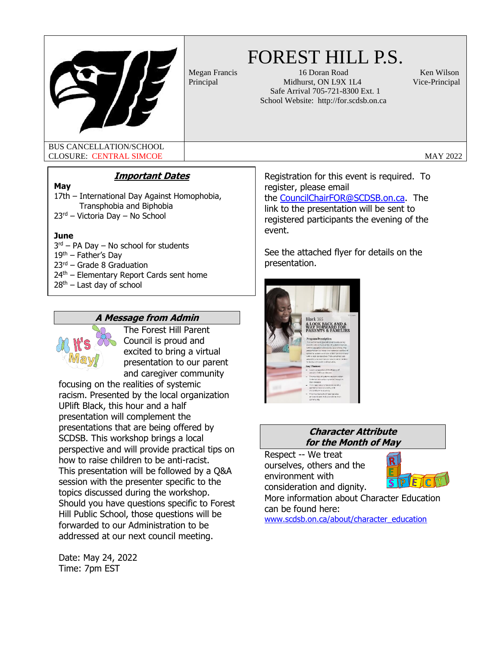

# FOREST HILL P.S.

Megan Francis 16 Doran Road Ken Wilson Principal Midhurst, ON L9X 1L4 Vice-Principal Safe Arrival 705-721-8300 Ext. 1 School Website: http://for.scdsb.on.ca

BUS CANCELLATION/SCHOOL CLOSURE: CENTRAL SIMCOE CLOSURE:  $\blacksquare$ 

### **Important Dates**

#### **May**

17th – International Day Against Homophobia, Transphobia and Biphobia 23rd – Victoria Day – No School

#### **June**

3<sup>rd</sup> – PA Day – No school for students  $19<sup>th</sup>$  – Father's Day 23rd – Grade 8 Graduation  $24<sup>th</sup>$  – Elementary Report Cards sent home 28<sup>th</sup> – Last day of school

# **A Message from Admin**



The Forest Hill Parent Council is proud and excited to bring a virtual presentation to our parent and caregiver community

focusing on the realities of systemic racism. Presented by the local organization UPlift Black, this hour and a half presentation will complement the presentations that are being offered by SCDSB. This workshop brings a local perspective and will provide practical tips on how to raise children to be anti-racist. This presentation will be followed by a Q&A session with the presenter specific to the topics discussed during the workshop. Should you have questions specific to Forest Hill Public School, those questions will be forwarded to our Administration to be addressed at our next council meeting.

Date: May 24, 2022 Time: 7pm EST

Registration for this event is required. To register, please email the [CouncilChairFOR@SCDSB.on.ca.](mailto:CouncilChairFOR@SCDSB.on.ca) The link to the presentation will be sent to registered participants the evening of the event.

See the attached flyer for details on the presentation.



#### **Character Attribute for the Month of May**

Respect -- We treat ourselves, others and the environment with consideration and dignity.



More information about Character Education can be found here:

[www.scdsb.on.ca/about/character\\_education](about:blank)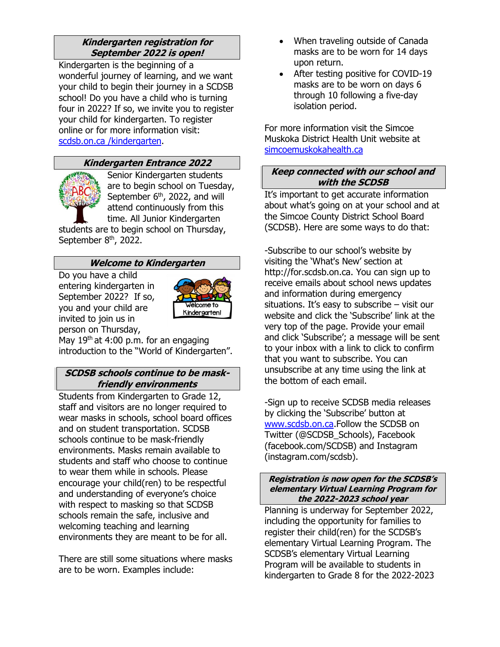# **Kindergarten registration for September 2022 is open!**

Kindergarten is the beginning of a wonderful journey of learning, and we want your child to begin their journey in a SCDSB school! Do you have a child who is turning four in 2022? If so, we invite you to register your child for kindergarten. To register online or for more information visit: scdsb.on.ca /kindergarten.

# **Kindergarten Entrance 2022**



Senior Kindergarten students are to begin school on Tuesday, September 6<sup>th</sup>, 2022, and will attend continuously from this time. All Junior Kindergarten

students are to begin school on Thursday, September 8<sup>th</sup>, 2022.

### **Welcome to Kindergarten**

Do you have a child entering kindergarten in September 2022? If so, you and your child are invited to join us in person on Thursday,



May  $19<sup>th</sup>$  at 4:00 p.m. for an engaging introduction to the "World of Kindergarten".

# **SCDSB schools continue to be maskfriendly environments**

Students from Kindergarten to Grade 12, staff and visitors are no longer required to wear masks in schools, school board offices and on student transportation. SCDSB schools continue to be mask-friendly environments. Masks remain available to students and staff who choose to continue to wear them while in schools. Please encourage your child(ren) to be respectful and understanding of everyone's choice with respect to masking so that SCDSB schools remain the safe, inclusive and welcoming teaching and learning environments they are meant to be for all.

There are still some situations where masks are to be worn. Examples include:

- When traveling outside of Canada masks are to be worn for 14 days upon return.
- After testing positive for COVID-19 masks are to be worn on days 6 through 10 following a five-day isolation period.

For more information visit the Simcoe Muskoka District Health Unit website at [simcoemuskokahealth.ca](https://www.simcoemuskokahealth.org/Topics/COVID-19#b6072a60-b91e-4df5-8d91-63624e9f24ea)

# **Keep connected with our school and with the SCDSB**

It's important to get accurate information about what's going on at your school and at the Simcoe County District School Board (SCDSB). Here are some ways to do that:

-Subscribe to our school's website by visiting the 'What's New' section at http://for.scdsb.on.ca. You can sign up to receive emails about school news updates and information during emergency situations. It's easy to subscribe – visit our website and click the 'Subscribe' link at the very top of the page. Provide your email and click 'Subscribe'; a message will be sent to your inbox with a link to click to confirm that you want to subscribe. You can unsubscribe at any time using the link at the bottom of each email.

-Sign up to receive SCDSB media releases by clicking the 'Subscribe' button at [www.scdsb.on.ca.](http://www.scdsb.on.ca/)Follow the SCDSB on Twitter (@SCDSB\_Schools), Facebook (facebook.com/SCDSB) and Instagram (instagram.com/scdsb).

#### **Registration is now open for the SCDSB's elementary Virtual Learning Program for the 2022-2023 school year**

Planning is underway for September 2022, including the opportunity for families to register their child(ren) for the SCDSB's elementary Virtual Learning Program. The SCDSB's elementary Virtual Learning Program will be available to students in kindergarten to Grade 8 for the 2022-2023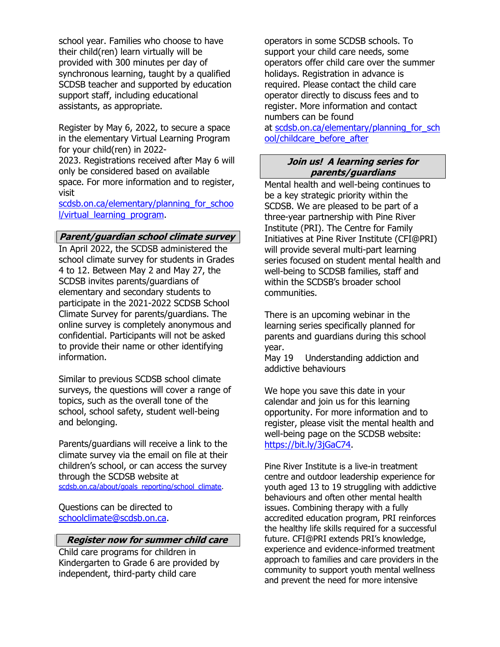school year. Families who choose to have their child(ren) learn virtually will be provided with 300 minutes per day of synchronous learning, taught by a qualified SCDSB teacher and supported by education support staff, including educational assistants, as appropriate.

Register by May 6, 2022, to secure a space in the elementary Virtual Learning Program for your child(ren) in 2022-

2023. Registrations received after May 6 will only be considered based on available space. For more information and to register, visit

scdsb.on.ca/elementary/planning for schoo [l/virtual\\_learning\\_program.](http://www.scdsb.on.ca/elementary/planning_for_school/virtual_learning_program)

#### **Parent/guardian school climate survey**

In April 2022, the SCDSB administered the school climate survey for students in Grades 4 to 12. Between May 2 and May 27, the SCDSB invites parents/guardians of elementary and secondary students to participate in the 2021-2022 SCDSB School Climate Survey for parents/guardians. The online survey is completely anonymous and confidential. Participants will not be asked to provide their name or other identifying information.

Similar to previous SCDSB school climate surveys, the questions will cover a range of topics, such as the overall tone of the school, school safety, student well-being and belonging.

Parents/guardians will receive a link to the climate survey via the email on file at their children's school, or can access the survey through the SCDSB website at [scdsb.on.ca/about/goals\\_reporting/school\\_climate.](http://www.scdsb.on.ca/about/goals_reporting/school_climate)

Questions can be directed to [schoolclimate@scdsb.on.ca.](mailto:schoolclimate@scdsb.on.ca)

#### **Register now for summer child care**

Child care programs for children in Kindergarten to Grade 6 are provided by independent, third-party child care

operators in some SCDSB schools. To support your child care needs, some operators offer child care over the summer holidays. Registration in advance is required. Please contact the child care operator directly to discuss fees and to register. More information and contact numbers can be found at scdsb.on.ca/elementary/planning for sch [ool/childcare\\_before\\_after](https://scdsb.on.ca/elementary/planning_for_school/childcare_before_after)

#### **Join us! A learning series for parents/guardians**

Mental health and well-being continues to be a key strategic priority within the SCDSB. We are pleased to be part of a three-year partnership with Pine River Institute (PRI). The Centre for Family Initiatives at Pine River Institute (CFI@PRI) will provide several multi-part learning series focused on student mental health and well-being to SCDSB families, staff and within the SCDSB's broader school communities.

There is an upcoming webinar in the learning series specifically planned for parents and guardians during this school year.

May 19 Understanding addiction and addictive behaviours

We hope you save this date in your calendar and join us for this learning opportunity. For more information and to register, please visit the mental health and well-being page on the SCDSB website: [https://bit.ly/3jGaC74.](https://can01.safelinks.protection.outlook.com/?url=https%3A%2F%2Fbit.ly%2F3jGaC74&data=04%7C01%7Cafarrell%40scdsb.on.ca%7Cec4ecedd6fe14e8d9f3708d999468884%7C573d7e64d5434fd8b3da0c64adc4eb35%7C1%7C0%7C637709350472482142%7CUnknown%7CTWFpbGZsb3d8eyJWIjoiMC4wLjAwMDAiLCJQIjoiV2luMzIiLCJBTiI6Ik1haWwiLCJXVCI6Mn0%3D%7C1000&sdata=gRQeln4fMgkvZPyGjrguRKa5cqk6yDqM%2B67RPLY4MMU%3D&reserved=0)

Pine River Institute is a live-in treatment centre and outdoor leadership experience for youth aged 13 to 19 struggling with addictive behaviours and often other mental health issues. Combining therapy with a fully accredited education program, PRI reinforces the healthy life skills required for a successful future. CFI@PRI extends PRI's knowledge, experience and evidence-informed treatment approach to families and care providers in the community to support youth mental wellness and prevent the need for more intensive